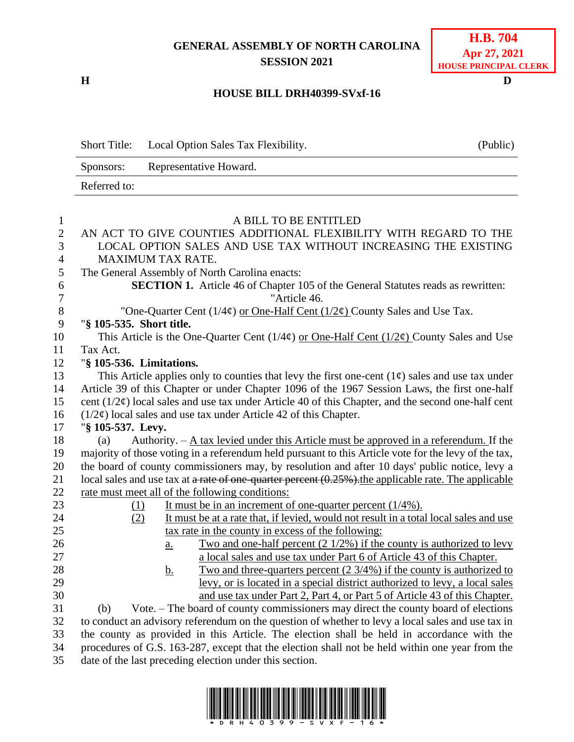## **GENERAL ASSEMBLY OF NORTH CAROLINA SESSION 2021**

**H D**

| <b>H.B.</b> 704       |
|-----------------------|
| Apr 27, 2021          |
| HOUSE PRINCIPAL CLERK |

## **HOUSE BILL DRH40399-SVxf-16**

|                | <b>Short Title:</b>                                            | Local Option Sales Tax Flexibility.                                                                                                                       | (Public) |  |
|----------------|----------------------------------------------------------------|-----------------------------------------------------------------------------------------------------------------------------------------------------------|----------|--|
|                | Sponsors:                                                      | Representative Howard.                                                                                                                                    |          |  |
|                | Referred to:                                                   |                                                                                                                                                           |          |  |
|                |                                                                |                                                                                                                                                           |          |  |
| $\mathbf{1}$   |                                                                | A BILL TO BE ENTITLED                                                                                                                                     |          |  |
| $\mathfrak{2}$ |                                                                | AN ACT TO GIVE COUNTIES ADDITIONAL FLEXIBILITY WITH REGARD TO THE                                                                                         |          |  |
| 3              | LOCAL OPTION SALES AND USE TAX WITHOUT INCREASING THE EXISTING |                                                                                                                                                           |          |  |
| $\overline{4}$ |                                                                | <b>MAXIMUM TAX RATE.</b>                                                                                                                                  |          |  |
| 5              |                                                                | The General Assembly of North Carolina enacts:                                                                                                            |          |  |
| 6              |                                                                | <b>SECTION 1.</b> Article 46 of Chapter 105 of the General Statutes reads as rewritten:                                                                   |          |  |
| 7              |                                                                | "Article 46.                                                                                                                                              |          |  |
| $8\phantom{1}$ |                                                                | "One-Quarter Cent $(1/4\varphi)$ or One-Half Cent $(1/2\varphi)$ County Sales and Use Tax.                                                                |          |  |
| 9              | "§ 105-535. Short title.                                       |                                                                                                                                                           |          |  |
| 10             |                                                                | This Article is the One-Quarter Cent $(1/4\phi)$ or One-Half Cent $(1/2\phi)$ County Sales and Use                                                        |          |  |
| 11             | Tax Act.                                                       |                                                                                                                                                           |          |  |
| 12             | "§ 105-536. Limitations.                                       |                                                                                                                                                           |          |  |
| 13             |                                                                | This Article applies only to counties that levy the first one-cent $(1\phi)$ sales and use tax under                                                      |          |  |
| 14             |                                                                | Article 39 of this Chapter or under Chapter 1096 of the 1967 Session Laws, the first one-half                                                             |          |  |
| 15             |                                                                | cent $(1/2\varphi)$ local sales and use tax under Article 40 of this Chapter, and the second one-half cent                                                |          |  |
| 16             |                                                                | $(1/2\varphi)$ local sales and use tax under Article 42 of this Chapter.                                                                                  |          |  |
| 17             | "§ 105-537. Levy.                                              |                                                                                                                                                           |          |  |
| 18             | (a)                                                            | Authority. $-\underline{A}$ tax levied under this Article must be approved in a referendum. If the                                                        |          |  |
| 19             |                                                                | majority of those voting in a referendum held pursuant to this Article vote for the levy of the tax,                                                      |          |  |
| 20             |                                                                | the board of county commissioners may, by resolution and after 10 days' public notice, levy a                                                             |          |  |
| 21             |                                                                | local sales and use tax at a rate of one-quarter percent (0.25%). the applicable rate. The applicable                                                     |          |  |
| 22             |                                                                | rate must meet all of the following conditions:                                                                                                           |          |  |
| 23             | (1)                                                            | It must be in an increment of one-quarter percent $(1/4\%)$ .                                                                                             |          |  |
| 24             | (2)                                                            | It must be at a rate that, if levied, would not result in a total local sales and use                                                                     |          |  |
| 25             |                                                                | tax rate in the county in excess of the following:                                                                                                        |          |  |
| 26<br>27       |                                                                | Two and one-half percent $(2\frac{1}{2\%})$ if the county is authorized to levy<br><u>a.</u>                                                              |          |  |
| 28             |                                                                | a local sales and use tax under Part 6 of Article 43 of this Chapter.<br>Two and three-quarters percent $(2\frac{3}{4\%})$ if the county is authorized to |          |  |
| 29             |                                                                | <u>b.</u><br><u>levy, or is located in a special district authorized to levy, a local sales</u>                                                           |          |  |
| 30             |                                                                | and use tax under Part 2, Part 4, or Part 5 of Article 43 of this Chapter.                                                                                |          |  |
| 31             | (b)                                                            | Vote. – The board of county commissioners may direct the county board of elections                                                                        |          |  |
| 32             |                                                                | to conduct an advisory referendum on the question of whether to levy a local sales and use tax in                                                         |          |  |
| 33             |                                                                | the county as provided in this Article. The election shall be held in accordance with the                                                                 |          |  |
| 34             |                                                                | procedures of G.S. 163-287, except that the election shall not be held within one year from the                                                           |          |  |
| $\overline{C}$ |                                                                | atta on official oral constitution after                                                                                                                  |          |  |

35 date of the last preceding election under this section.